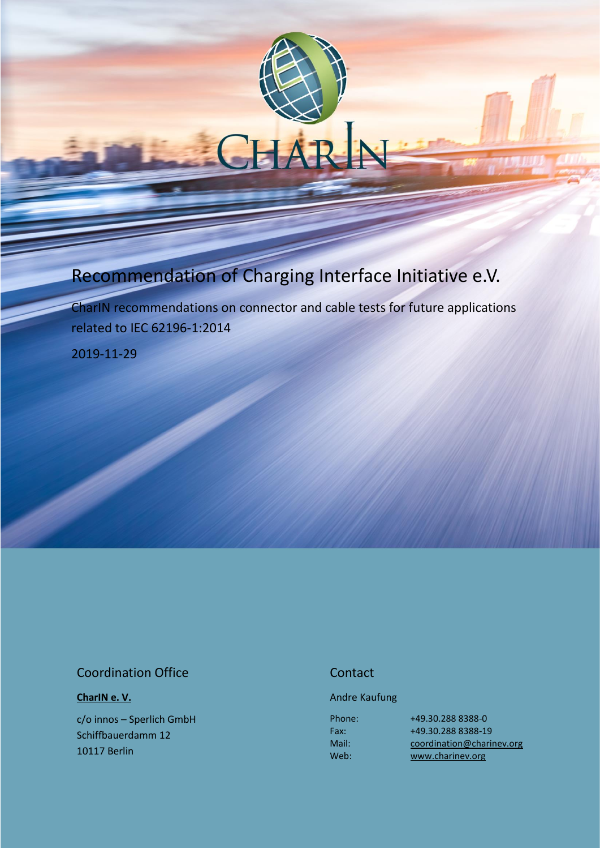# Recommendation of Charging Interface Initiative e.V.

CharIN recommendations on connector and cable tests for future applications related to IEC 62196-1:2014

2019-11-29

### Coordination Office

**[CharIN e. V.](http://charinev.org/news/)**

c/o innos – Sperlich GmbH Schiffbauerdamm 12 10117 Berlin

### **Contact**

Andre Kaufung

Phone: Fax: Mail: Web:

[+49.30.288](tel:+49%2030%20288) 8388-0 [+49.30.288](tel:+49%2030%20288) 8388-19 [coordination@charinev.org](mailto:andre.kaufung@charinev.org) [www.charinev.org](http://www.charinev.org/)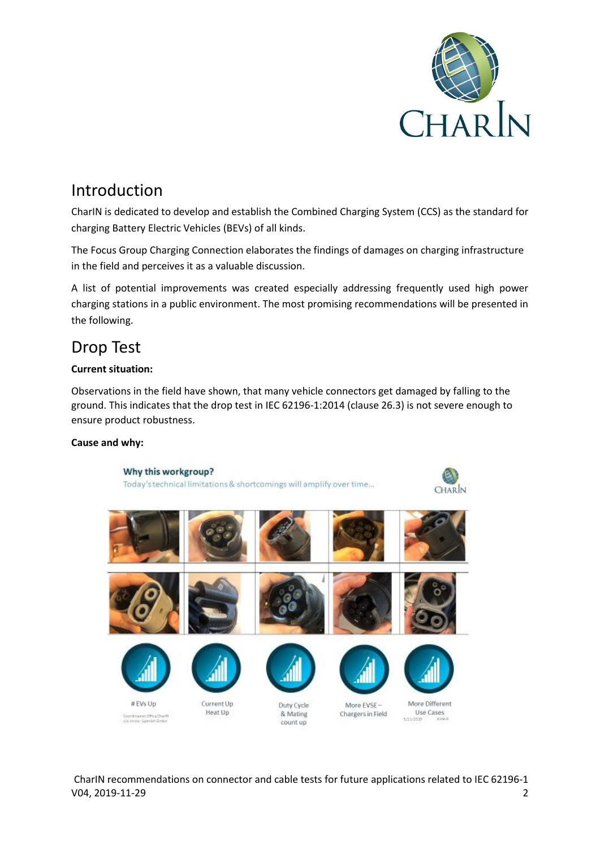

## Introduction

CharIN is dedicated to develop and establish the Combined Charging System (CCS) as the standard for charging Battery Electric Vehicles (BEVs) of all kinds.

The Focus Group Charging Connection elaborates the findings of damages on charging infrastructure in the field and perceives it as a valuable discussion.

A list of potential improvements was created especially addressing frequently used high power charging stations in a public environment. The most promising recommendations will be presented in the following.

# Drop Test

#### **Current situation:**

Observations in the field have shown, that many vehicle connectors get damaged by falling to the ground. This indicates that the drop test in IEC 62196-1:2014 (clause 26.3) is not severe enough to ensure product robustness.

#### **Cause and why:**

Why this workgroup? Today's technical limitations & shortcomings will amplify over time... **CHARIN** Current Up #EVs Up More Different Duty Cycle More EVSE-Heat Up Use Cases Chargers in Field & Mating Coordination Office Charlie<br>Cole Innoce-Spanish GmbH **1/21/2019** count up

CharIN recommendations on connector and cable tests for future applications related to IEC 62196-1 V04, 2019-11-29 2